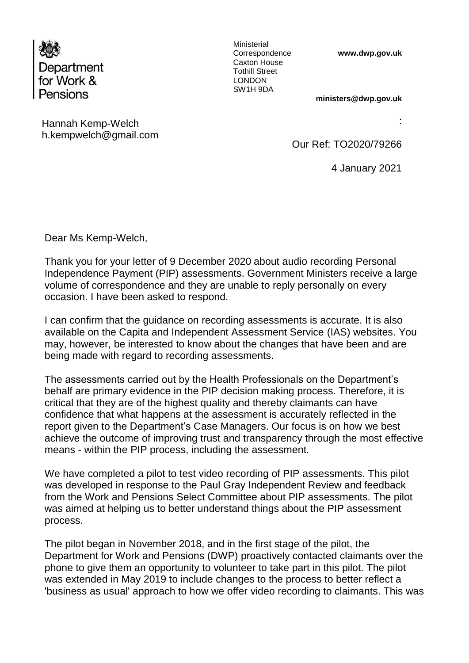

Ministerial Correspondence Caxton House Tothill Street LONDON SW1H 9DA

**www.dwp.gov.uk** 

**ministers@dwp.gov.uk**

Hannah Kemp-Welch h.kempwelch@gmail.com :

Our Ref: TO2020/79266

4 January 2021

Dear Ms Kemp-Welch,

Thank you for your letter of 9 December 2020 about audio recording Personal Independence Payment (PIP) assessments. Government Ministers receive a large volume of correspondence and they are unable to reply personally on every occasion. I have been asked to respond.

I can confirm that the guidance on recording assessments is accurate. It is also available on the Capita and Independent Assessment Service (IAS) websites. You may, however, be interested to know about the changes that have been and are being made with regard to recording assessments.

The assessments carried out by the Health Professionals on the Department's behalf are primary evidence in the PIP decision making process. Therefore, it is critical that they are of the highest quality and thereby claimants can have confidence that what happens at the assessment is accurately reflected in the report given to the Department's Case Managers. Our focus is on how we best achieve the outcome of improving trust and transparency through the most effective means - within the PIP process, including the assessment.

We have completed a pilot to test video recording of PIP assessments. This pilot was developed in response to the Paul Gray Independent Review and feedback from the Work and Pensions Select Committee about PIP assessments. The pilot was aimed at helping us to better understand things about the PIP assessment process.

The pilot began in November 2018, and in the first stage of the pilot, the Department for Work and Pensions (DWP) proactively contacted claimants over the phone to give them an opportunity to volunteer to take part in this pilot. The pilot was extended in May 2019 to include changes to the process to better reflect a 'business as usual' approach to how we offer video recording to claimants. This was